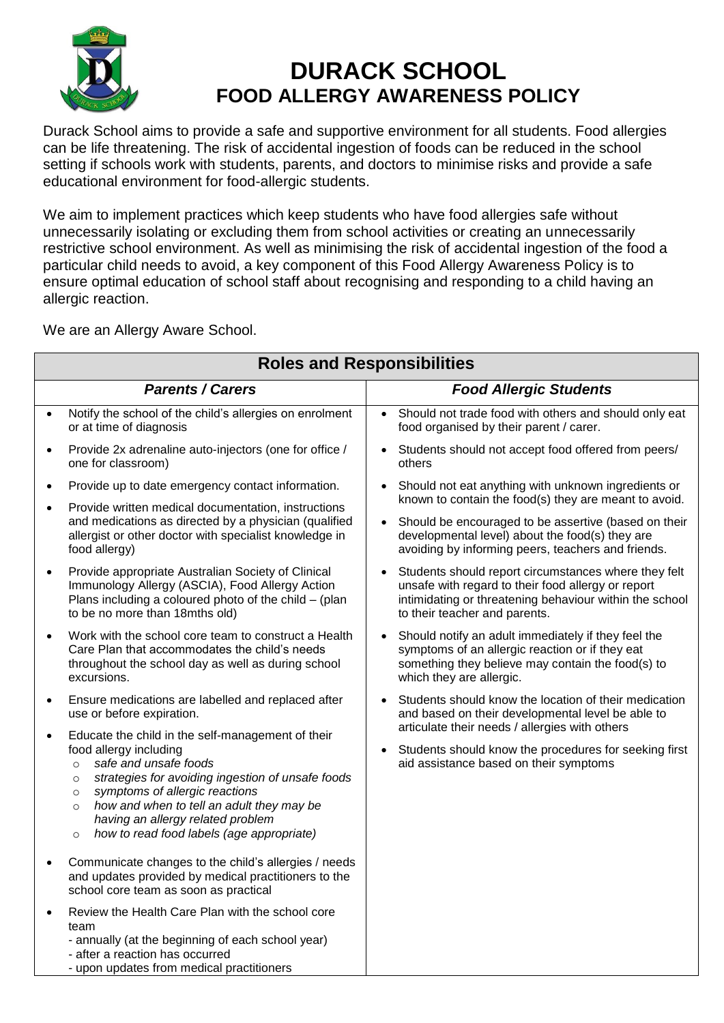

## **DURACK SCHOOL FOOD ALLERGY AWARENESS POLICY**

Durack School aims to provide a safe and supportive environment for all students. Food allergies can be life threatening. The risk of accidental ingestion of foods can be reduced in the school setting if schools work with students, parents, and doctors to minimise risks and provide a safe educational environment for food-allergic students.

We aim to implement practices which keep students who have food allergies safe without unnecessarily isolating or excluding them from school activities or creating an unnecessarily restrictive school environment. As well as minimising the risk of accidental ingestion of the food a particular child needs to avoid, a key component of this Food Allergy Awareness Policy is to ensure optimal education of school staff about recognising and responding to a child having an allergic reaction.

We are an Allergy Aware School.

| <b>Roles and Responsibilities</b>                                                                                                                                                                                                                                                                                                                                                              |                                                                                                                                                                                                        |  |  |  |
|------------------------------------------------------------------------------------------------------------------------------------------------------------------------------------------------------------------------------------------------------------------------------------------------------------------------------------------------------------------------------------------------|--------------------------------------------------------------------------------------------------------------------------------------------------------------------------------------------------------|--|--|--|
| <b>Parents / Carers</b>                                                                                                                                                                                                                                                                                                                                                                        | <b>Food Allergic Students</b>                                                                                                                                                                          |  |  |  |
| Notify the school of the child's allergies on enrolment<br>$\bullet$<br>or at time of diagnosis                                                                                                                                                                                                                                                                                                | Should not trade food with others and should only eat<br>food organised by their parent / carer.                                                                                                       |  |  |  |
| Provide 2x adrenaline auto-injectors (one for office /<br>$\bullet$<br>one for classroom)                                                                                                                                                                                                                                                                                                      | Students should not accept food offered from peers/<br>others                                                                                                                                          |  |  |  |
| Provide up to date emergency contact information.<br>$\bullet$                                                                                                                                                                                                                                                                                                                                 | Should not eat anything with unknown ingredients or<br>known to contain the food(s) they are meant to avoid.                                                                                           |  |  |  |
| Provide written medical documentation, instructions<br>$\bullet$<br>and medications as directed by a physician (qualified<br>allergist or other doctor with specialist knowledge in<br>food allergy)                                                                                                                                                                                           | Should be encouraged to be assertive (based on their<br>developmental level) about the food(s) they are<br>avoiding by informing peers, teachers and friends.                                          |  |  |  |
| Provide appropriate Australian Society of Clinical<br>$\bullet$<br>Immunology Allergy (ASCIA), Food Allergy Action<br>Plans including a coloured photo of the child $-$ (plan<br>to be no more than 18mths old)                                                                                                                                                                                | Students should report circumstances where they felt<br>unsafe with regard to their food allergy or report<br>intimidating or threatening behaviour within the school<br>to their teacher and parents. |  |  |  |
| Work with the school core team to construct a Health<br>$\bullet$<br>Care Plan that accommodates the child's needs<br>throughout the school day as well as during school<br>excursions.                                                                                                                                                                                                        | Should notify an adult immediately if they feel the<br>symptoms of an allergic reaction or if they eat<br>something they believe may contain the food(s) to<br>which they are allergic.                |  |  |  |
| Ensure medications are labelled and replaced after<br>$\bullet$<br>use or before expiration.                                                                                                                                                                                                                                                                                                   | Students should know the location of their medication<br>and based on their developmental level be able to<br>articulate their needs / allergies with others                                           |  |  |  |
| Educate the child in the self-management of their<br>$\bullet$<br>food allergy including<br>safe and unsafe foods<br>$\circ$<br>strategies for avoiding ingestion of unsafe foods<br>$\circ$<br>symptoms of allergic reactions<br>$\circ$<br>how and when to tell an adult they may be<br>$\circ$<br>having an allergy related problem<br>how to read food labels (age appropriate)<br>$\circ$ | Students should know the procedures for seeking first<br>aid assistance based on their symptoms                                                                                                        |  |  |  |
| Communicate changes to the child's allergies / needs<br>$\bullet$<br>and updates provided by medical practitioners to the<br>school core team as soon as practical                                                                                                                                                                                                                             |                                                                                                                                                                                                        |  |  |  |
| Review the Health Care Plan with the school core<br>$\bullet$<br>team<br>- annually (at the beginning of each school year)<br>- after a reaction has occurred<br>- upon updates from medical practitioners                                                                                                                                                                                     |                                                                                                                                                                                                        |  |  |  |